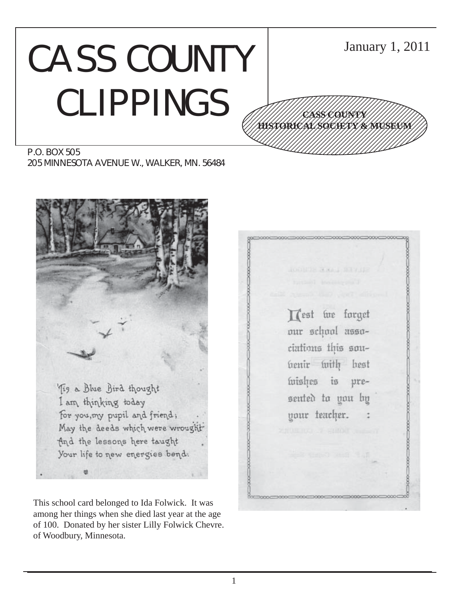# CASS COUNTY CLIPPINGS



P.O. BOX 505 205 MINNESOTA AVENUE W., WALKER, MN. 56484



This school card belonged to Ida Folwick. It was among her things when she died last year at the age of 100. Donated by her sister Lilly Folwick Chevre. of Woodbury, Minnesota.

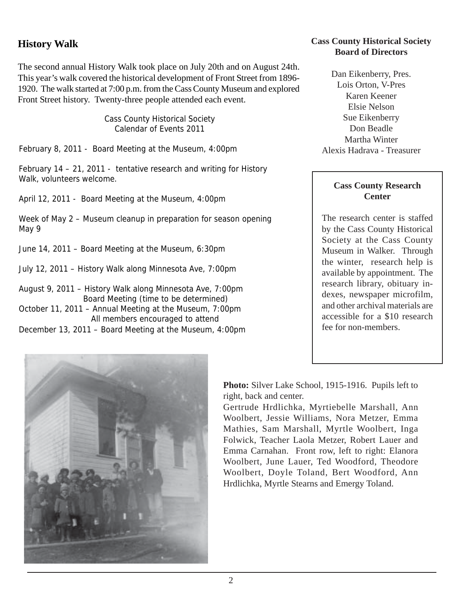#### **History Walk**

The second annual History Walk took place on July 20th and on August 24th. This year's walk covered the historical development of Front Street from 1896- 1920. The walk started at 7:00 p.m. from the Cass County Museum and explored Front Street history. Twenty-three people attended each event.

> Cass County Historical Society Calendar of Events 2011

February 8, 2011 - Board Meeting at the Museum, 4:00pm

February 14 – 21, 2011 - tentative research and writing for History Walk, volunteers welcome.

April 12, 2011 - Board Meeting at the Museum, 4:00pm

Week of May 2 – Museum cleanup in preparation for season opening May 9

June 14, 2011 – Board Meeting at the Museum, 6:30pm

July 12, 2011 – History Walk along Minnesota Ave, 7:00pm

August 9, 2011 – History Walk along Minnesota Ave, 7:00pm Board Meeting (time to be determined) October 11, 2011 – Annual Meeting at the Museum, 7:00pm All members encouraged to attend December 13, 2011 – Board Meeting at the Museum, 4:00pm

#### **Cass County Historical Society Board of Directors**

Dan Eikenberry, Pres. Lois Orton, V-Pres Karen Keener Elsie Nelson Sue Eikenberry Don Beadle Martha Winter Alexis Hadrava - Treasurer

#### **Cass County Research Center**

The research center is staffed by the Cass County Historical Society at the Cass County Museum in Walker. Through the winter, research help is available by appointment. The research library, obituary indexes, newspaper microfilm, and other archival materials are accessible for a \$10 research fee for non-members.



**Photo:** Silver Lake School, 1915-1916. Pupils left to right, back and center.

Gertrude Hrdlichka, Myrtiebelle Marshall, Ann Woolbert, Jessie Williams, Nora Metzer, Emma Mathies, Sam Marshall, Myrtle Woolbert, Inga Folwick, Teacher Laola Metzer, Robert Lauer and Emma Carnahan. Front row, left to right: Elanora Woolbert, June Lauer, Ted Woodford, Theodore Woolbert, Doyle Toland, Bert Woodford, Ann Hrdlichka, Myrtle Stearns and Emergy Toland.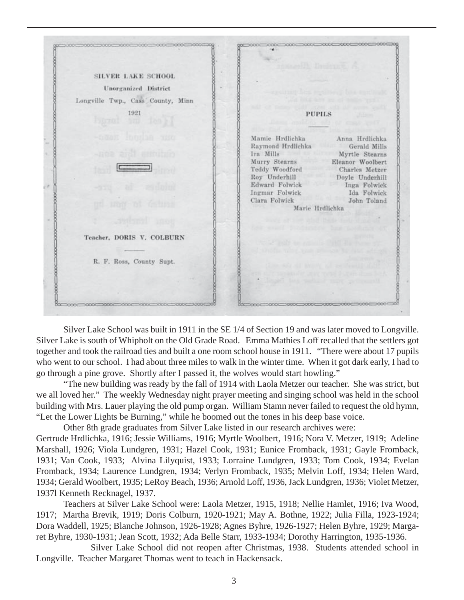|                                   | TOWARD DRUGSE &                                                          |
|-----------------------------------|--------------------------------------------------------------------------|
| <b>SILVER LAKE SCHOOL</b>         |                                                                          |
| Unorganized District              | spound best realised best had a                                          |
| Longville Twp., Cass County, Minn | point for a way are of them were a                                       |
| 1921<br>prod in the of            | temp gall and add in some part<br><b>PUPILS</b><br>des milio di come : l |
| -caox houle and                   | Mamie Hrdlichka Anna Hrdlichka<br>Raymond Hrdlichka Gerald Mills         |
| -nee and entuing                  | Ira Mills Myrtle Stearns<br>Murry Stearns Eleanor Woolbert               |
| <b>Experience</b>                 | Teddy Woodford<br>Charles Metzer<br>Roy Underhill<br>Doyle Underhill     |
|                                   | Edward Folwick<br>Inga Folwick<br>Ingmar Folwick<br>Ida Folwick          |
| uno ni delusa                     | John Toland<br>Clara Folwick<br>.<br>Marie Hrdlichka                     |
| and mot                           | have although that their finds if the of                                 |
| Teacher, DORIS V. COLBURN         | <b>Official politics and provided in MT 415</b>                          |
|                                   | Middle William Mark of Castle Ba                                         |
| R. F. Ross, County Supt.          | Ginn SKI ALT AVENT KI SWIFE                                              |
|                                   | There was recorded                                                       |
|                                   |                                                                          |

Silver Lake School was built in 1911 in the SE 1/4 of Section 19 and was later moved to Longville. Silver Lake is south of Whipholt on the Old Grade Road. Emma Mathies Loff recalled that the settlers got together and took the railroad ties and built a one room school house in 1911. "There were about 17 pupils who went to our school. I had about three miles to walk in the winter time. When it got dark early, I had to go through a pine grove. Shortly after I passed it, the wolves would start howling."

"The new building was ready by the fall of 1914 with Laola Metzer our teacher. She was strict, but we all loved her." The weekly Wednesday night prayer meeting and singing school was held in the school building with Mrs. Lauer playing the old pump organ. William Stamn never failed to request the old hymn, "Let the Lower Lights be Burning," while he boomed out the tones in his deep base voice.

Other 8th grade graduates from Silver Lake listed in our research archives were: Gertrude Hrdlichka, 1916; Jessie Williams, 1916; Myrtle Woolbert, 1916; Nora V. Metzer, 1919; Adeline Marshall, 1926; Viola Lundgren, 1931; Hazel Cook, 1931; Eunice Fromback, 1931; Gayle Fromback, 1931; Van Cook, 1933; Alvina Lilyquist, 1933; Lorraine Lundgren, 1933; Tom Cook, 1934; Evelan Fromback, 1934; Laurence Lundgren, 1934; Verlyn Fromback, 1935; Melvin Loff, 1934; Helen Ward, 1934; Gerald Woolbert, 1935; LeRoy Beach, 1936; Arnold Loff, 1936, Jack Lundgren, 1936; Violet Metzer, 1937l Kenneth Recknagel, 1937.

Teachers at Silver Lake School were: Laola Metzer, 1915, 1918; Nellie Hamlet, 1916; Iva Wood, 1917; Martha Brevik, 1919; Doris Colburn, 1920-1921; May A. Bothne, 1922; Julia Filla, 1923-1924; Dora Waddell, 1925; Blanche Johnson, 1926-1928; Agnes Byhre, 1926-1927; Helen Byhre, 1929; Margaret Byhre, 1930-1931; Jean Scott, 1932; Ada Belle Starr, 1933-1934; Dorothy Harrington, 1935-1936.

Silver Lake School did not reopen after Christmas, 1938. Students attended school in Longville. Teacher Margaret Thomas went to teach in Hackensack.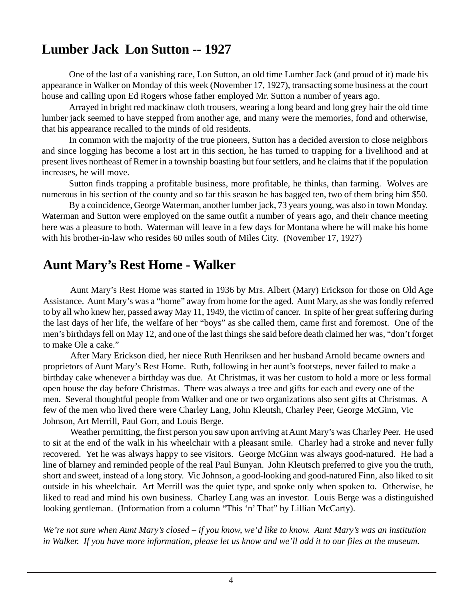## **Lumber Jack Lon Sutton -- 1927**

One of the last of a vanishing race, Lon Sutton, an old time Lumber Jack (and proud of it) made his appearance in Walker on Monday of this week (November 17, 1927), transacting some business at the court house and calling upon Ed Rogers whose father employed Mr. Sutton a number of years ago.

Arrayed in bright red mackinaw cloth trousers, wearing a long beard and long grey hair the old time lumber jack seemed to have stepped from another age, and many were the memories, fond and otherwise, that his appearance recalled to the minds of old residents.

In common with the majority of the true pioneers, Sutton has a decided aversion to close neighbors and since logging has become a lost art in this section, he has turned to trapping for a livelihood and at present lives northeast of Remer in a township boasting but four settlers, and he claims that if the population increases, he will move.

Sutton finds trapping a profitable business, more profitable, he thinks, than farming. Wolves are numerous in his section of the county and so far this season he has bagged ten, two of them bring him \$50.

By a coincidence, George Waterman, another lumber jack, 73 years young, was also in town Monday. Waterman and Sutton were employed on the same outfit a number of years ago, and their chance meeting here was a pleasure to both. Waterman will leave in a few days for Montana where he will make his home with his brother-in-law who resides 60 miles south of Miles City. (November 17, 1927)

## **Aunt Mary's Rest Home - Walker**

Aunt Mary's Rest Home was started in 1936 by Mrs. Albert (Mary) Erickson for those on Old Age Assistance. Aunt Mary's was a "home" away from home for the aged. Aunt Mary, as she was fondly referred to by all who knew her, passed away May 11, 1949, the victim of cancer. In spite of her great suffering during the last days of her life, the welfare of her "boys" as she called them, came first and foremost. One of the men's birthdays fell on May 12, and one of the last things she said before death claimed her was, "don't forget to make Ole a cake."

After Mary Erickson died, her niece Ruth Henriksen and her husband Arnold became owners and proprietors of Aunt Mary's Rest Home. Ruth, following in her aunt's footsteps, never failed to make a birthday cake whenever a birthday was due. At Christmas, it was her custom to hold a more or less formal open house the day before Christmas. There was always a tree and gifts for each and every one of the men. Several thoughtful people from Walker and one or two organizations also sent gifts at Christmas. A few of the men who lived there were Charley Lang, John Kleutsh, Charley Peer, George McGinn, Vic Johnson, Art Merrill, Paul Gorr, and Louis Berge.

Weather permitting, the first person you saw upon arriving at Aunt Mary's was Charley Peer. He used to sit at the end of the walk in his wheelchair with a pleasant smile. Charley had a stroke and never fully recovered. Yet he was always happy to see visitors. George McGinn was always good-natured. He had a line of blarney and reminded people of the real Paul Bunyan. John Kleutsch preferred to give you the truth, short and sweet, instead of a long story. Vic Johnson, a good-looking and good-natured Finn, also liked to sit outside in his wheelchair. Art Merrill was the quiet type, and spoke only when spoken to. Otherwise, he liked to read and mind his own business. Charley Lang was an investor. Louis Berge was a distinguished looking gentleman. (Information from a column "This 'n' That" by Lillian McCarty).

*We're not sure when Aunt Mary's closed – if you know, we'd like to know. Aunt Mary's was an institution in Walker. If you have more information, please let us know and we'll add it to our files at the museum.*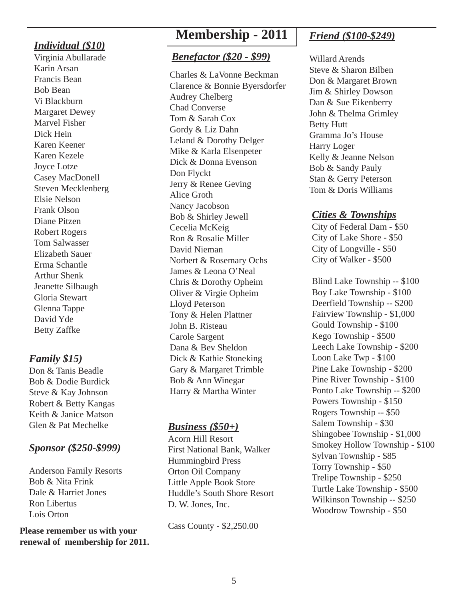#### *Individual (\$10)*

Virginia Abullarade Karin Arsan Francis Bean Bob Bean Vi Blackburn Margaret Dewey Marvel Fisher Dick Hein Karen Keener Karen Kezele Joyce Lotze Casey MacDonell Steven Mecklenberg Elsie Nelson Frank Olson Diane Pitzen Robert Rogers Tom Salwasser Elizabeth Sauer Erma Schantle Arthur Shenk Jeanette Silbaugh Gloria Stewart Glenna Tappe David Yde Betty Zaffke

#### *Family \$15)*

Don & Tanis Beadle Bob & Dodie Burdick Steve & Kay Johnson Robert & Betty Kangas Keith & Janice Matson Glen & Pat Mechelke

#### *Sponsor (\$250-\$999)*

Anderson Family Resorts Bob & Nita Frink Dale & Harriet Jones Ron Libertus Lois Orton

**Please remember us with your renewal of membership for 2011.**

## **Membership - 2011**

#### *Benefactor (\$20 - \$99)*

Charles & LaVonne Beckman Clarence & Bonnie Byersdorfer Audrey Chelberg Chad Converse Tom & Sarah Cox Gordy & Liz Dahn Leland & Dorothy Delger Mike & Karla Elsenpeter Dick & Donna Evenson Don Flyckt Jerry & Renee Geving Alice Groth Nancy Jacobson Bob & Shirley Jewell Cecelia McKeig Ron & Rosalie Miller David Nieman Norbert & Rosemary Ochs James & Leona O'Neal Chris & Dorothy Opheim Oliver & Virgie Opheim Lloyd Peterson Tony & Helen Plattner John B. Risteau Carole Sargent Dana & Bev Sheldon Dick & Kathie Stoneking Gary & Margaret Trimble Bob & Ann Winegar Harry & Martha Winter

#### *Business (\$50+)*

Acorn Hill Resort First National Bank, Walker Hummingbird Press Orton Oil Company Little Apple Book Store Huddle's South Shore Resort D. W. Jones, Inc.

Cass County - \$2,250.00

### *Friend (\$100-\$249)*

Willard Arends Steve & Sharon Bilben Don & Margaret Brown Jim & Shirley Dowson Dan & Sue Eikenberry John & Thelma Grimley Betty Hutt Gramma Jo's House Harry Loger Kelly & Jeanne Nelson Bob & Sandy Pauly Stan & Gerry Peterson Tom & Doris Williams

#### *Cities & Townships*

City of Federal Dam - \$50 City of Lake Shore - \$50 City of Longville - \$50 City of Walker - \$500

Blind Lake Township -- \$100 Boy Lake Township - \$100 Deerfield Township -- \$200 Fairview Township - \$1,000 Gould Township - \$100 Kego Township - \$500 Leech Lake Township - \$200 Loon Lake Twp - \$100 Pine Lake Township - \$200 Pine River Township - \$100 Ponto Lake Township -- \$200 Powers Township - \$150 Rogers Township -- \$50 Salem Township - \$30 Shingobee Township - \$1,000 Smokey Hollow Township - \$100 Sylvan Township - \$85 Torry Township - \$50 Trelipe Township - \$250 Turtle Lake Township - \$500 Wilkinson Township -- \$250 Woodrow Township - \$50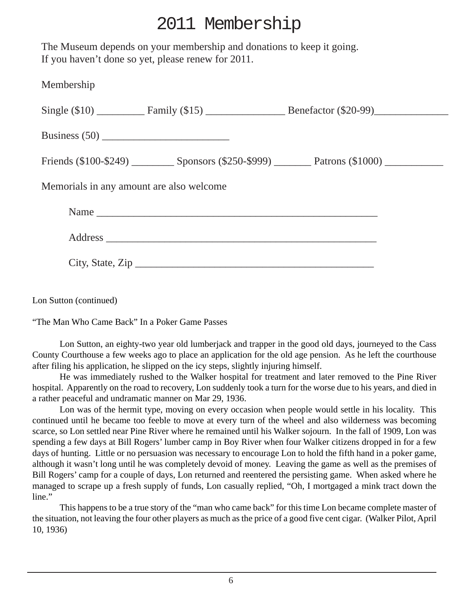## 2011 Membership

The Museum depends on your membership and donations to keep it going. If you haven't done so yet, please renew for 2011.

| Membership                               |                  |  |
|------------------------------------------|------------------|--|
|                                          |                  |  |
|                                          |                  |  |
|                                          |                  |  |
| Memorials in any amount are also welcome |                  |  |
|                                          | Name             |  |
|                                          |                  |  |
|                                          | City, State, Zip |  |
|                                          |                  |  |

Lon Sutton (continued)

"The Man Who Came Back" In a Poker Game Passes

Lon Sutton, an eighty-two year old lumberjack and trapper in the good old days, journeyed to the Cass County Courthouse a few weeks ago to place an application for the old age pension. As he left the courthouse after filing his application, he slipped on the icy steps, slightly injuring himself.

He was immediately rushed to the Walker hospital for treatment and later removed to the Pine River hospital. Apparently on the road to recovery, Lon suddenly took a turn for the worse due to his years, and died in a rather peaceful and undramatic manner on Mar 29, 1936.

Lon was of the hermit type, moving on every occasion when people would settle in his locality. This continued until he became too feeble to move at every turn of the wheel and also wilderness was becoming scarce, so Lon settled near Pine River where he remained until his Walker sojourn. In the fall of 1909, Lon was spending a few days at Bill Rogers' lumber camp in Boy River when four Walker citizens dropped in for a few days of hunting. Little or no persuasion was necessary to encourage Lon to hold the fifth hand in a poker game, although it wasn't long until he was completely devoid of money. Leaving the game as well as the premises of Bill Rogers' camp for a couple of days, Lon returned and reentered the persisting game. When asked where he managed to scrape up a fresh supply of funds, Lon casually replied, "Oh, I mortgaged a mink tract down the line."

This happens to be a true story of the "man who came back" for this time Lon became complete master of the situation, not leaving the four other players as much as the price of a good five cent cigar. (Walker Pilot, April 10, 1936)